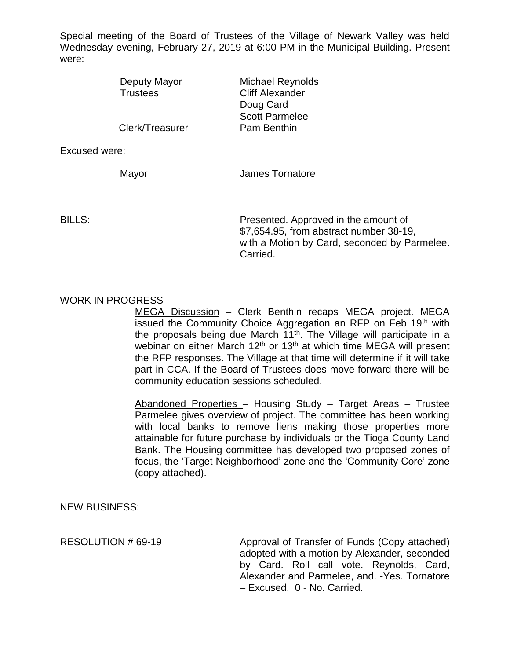Special meeting of the Board of Trustees of the Village of Newark Valley was held Wednesday evening, February 27, 2019 at 6:00 PM in the Municipal Building. Present were:

| Deputy Mayor<br><b>Trustees</b> | <b>Michael Reynolds</b><br><b>Cliff Alexander</b> |
|---------------------------------|---------------------------------------------------|
|                                 | Doug Card                                         |
|                                 | <b>Scott Parmelee</b>                             |
| Clerk/Treasurer                 | Pam Benthin                                       |

Excused were:

Mayor **Mayor** James Tornatore

BILLS: Presented. Approved in the amount of \$7,654.95, from abstract number 38-19, with a Motion by Card, seconded by Parmelee. Carried.

## WORK IN PROGRESS

MEGA Discussion – Clerk Benthin recaps MEGA project. MEGA issued the Community Choice Aggregation an RFP on Feb 19<sup>th</sup> with the proposals being due March 11th. The Village will participate in a webinar on either March 12<sup>th</sup> or 13<sup>th</sup> at which time MEGA will present the RFP responses. The Village at that time will determine if it will take part in CCA. If the Board of Trustees does move forward there will be community education sessions scheduled.

Abandoned Properties – Housing Study – Target Areas – Trustee Parmelee gives overview of project. The committee has been working with local banks to remove liens making those properties more attainable for future purchase by individuals or the Tioga County Land Bank. The Housing committee has developed two proposed zones of focus, the 'Target Neighborhood' zone and the 'Community Core' zone (copy attached).

NEW BUSINESS:

RESOLUTION # 69-19 Approval of Transfer of Funds (Copy attached) adopted with a motion by Alexander, seconded by Card. Roll call vote. Reynolds, Card, Alexander and Parmelee, and. -Yes. Tornatore – Excused. 0 - No. Carried.